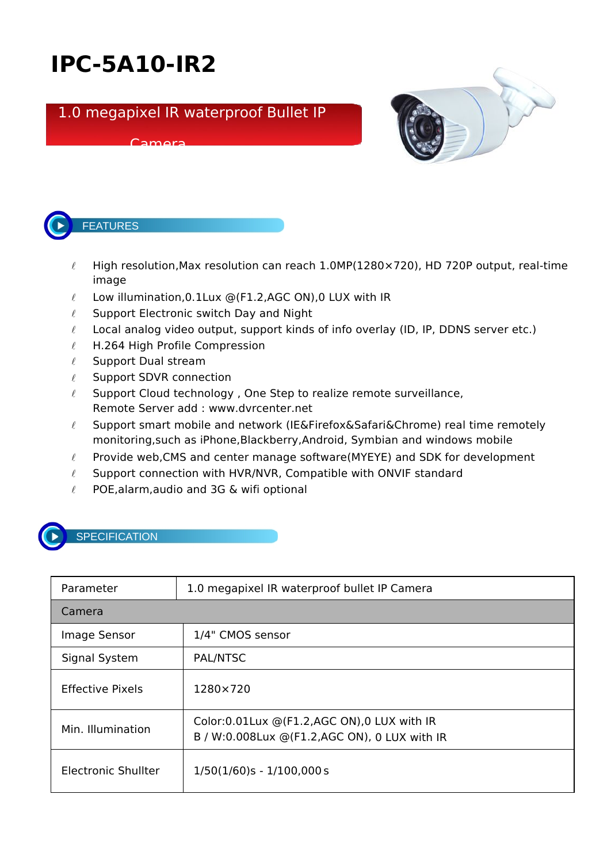## **IPC-5A10-IR2**

## 1.0 megapixel IR waterproof Bullet IP

## Camera





- $\ell$  High resolution, Max resolution can reach 1.0MP(1280×720), HD 720P output, real-time image
- $\ell$  Low illumination, 0.1 Lux @(F1.2, AGC ON), 0 LUX with IR
- $\ell$  Support Electronic switch Day and Night
- $\ell$  Local analog video output, support kinds of info overlay (ID, IP, DDNS server etc.)
- $\ell$  H.264 High Profile Compression
- $\ell$  Support Dual stream
- $\ell$  Support SDVR connection
- $\ell$  Support Cloud technology, One Step to realize remote surveillance, Remote Server add : www.dvrcenter.net
- $\ell$  Support smart mobile and network (IE&Firefox&Safari&Chrome) real time remotely monitoring,such as iPhone,Blackberry,Android, Symbian and windows mobile
- $\ell$  Provide web, CMS and center manage software (MYEYE) and SDK for development
- $\ell$  Support connection with HVR/NVR, Compatible with ONVIF standard
- $\ell$  POE, alarm, audio and 3G & wifi optional



## **SPECIFICATION**

| Parameter                  | 1.0 megapixel IR waterproof bullet IP Camera                                                    |  |
|----------------------------|-------------------------------------------------------------------------------------------------|--|
| Camera                     |                                                                                                 |  |
| Image Sensor               | 1/4" CMOS sensor                                                                                |  |
| Signal System              | PAL/NTSC                                                                                        |  |
| Effective Pixels           | 1280×720                                                                                        |  |
| Min. Illumination          | Color: 0.01 Lux @ (F1.2, AGC ON), 0 LUX with IR<br>B / W:0.008Lux @(F1.2,AGC ON), 0 LUX with IR |  |
| <b>Electronic Shullter</b> | $1/50(1/60)s - 1/100,000s$                                                                      |  |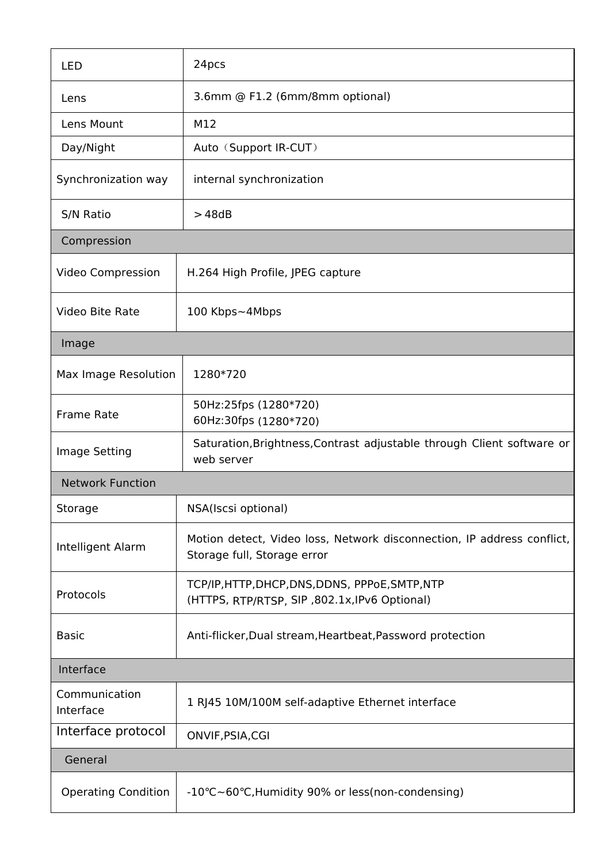| <b>LED</b>                 | 24pcs                                                                                                 |  |  |
|----------------------------|-------------------------------------------------------------------------------------------------------|--|--|
| Lens                       | 3.6mm @ F1.2 (6mm/8mm optional)                                                                       |  |  |
| Lens Mount                 | M12                                                                                                   |  |  |
| Day/Night                  | Auto (Support IR-CUT)                                                                                 |  |  |
| Synchronization way        | internal synchronization                                                                              |  |  |
| S/N Ratio                  | >48dB                                                                                                 |  |  |
| Compression                |                                                                                                       |  |  |
| Video Compression          | H.264 High Profile, JPEG capture                                                                      |  |  |
| Video Bite Rate            | 100 Kbps~4Mbps                                                                                        |  |  |
| Image                      |                                                                                                       |  |  |
| Max Image Resolution       | 1280*720                                                                                              |  |  |
| Frame Rate                 | 50Hz:25fps (1280*720)<br>60Hz:30fps (1280*720)                                                        |  |  |
| Image Setting              | Saturation, Brightness, Contrast adjustable through Client software or<br>web server                  |  |  |
| <b>Network Function</b>    |                                                                                                       |  |  |
| Storage                    | NSA(Iscsi optional)                                                                                   |  |  |
| Intelligent Alarm          | Motion detect, Video loss, Network disconnection, IP address conflict,<br>Storage full, Storage error |  |  |
| Protocols                  | TCP/IP, HTTP, DHCP, DNS, DDNS, PPPoE, SMTP, NTP<br>(HTTPS, RTP/RTSP, SIP, 802.1x, IPv6 Optional)      |  |  |
| <b>Basic</b>               | Anti-flicker, Dual stream, Heartbeat, Password protection                                             |  |  |
| Interface                  |                                                                                                       |  |  |
| Communication<br>Interface | 1 RJ45 10M/100M self-adaptive Ethernet interface                                                      |  |  |
| Interface protocol         | ONVIF, PSIA, CGI                                                                                      |  |  |
| General                    |                                                                                                       |  |  |
| <b>Operating Condition</b> | -10°C~60°C, Humidity 90% or less (non-condensing)                                                     |  |  |